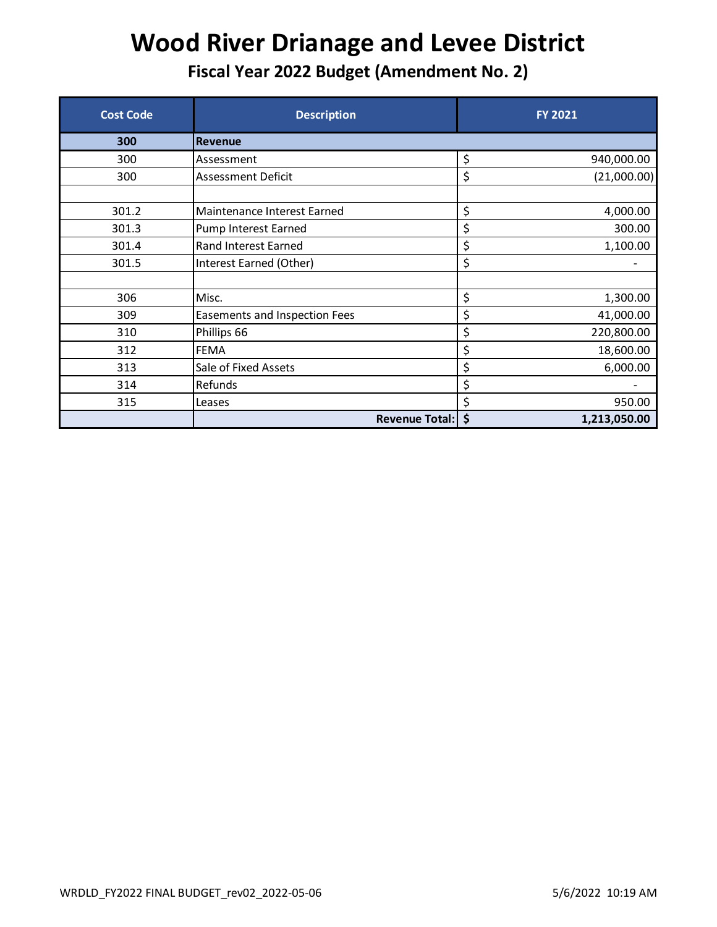| <b>Cost Code</b> | <b>Description</b>            | <b>FY 2021</b>     |
|------------------|-------------------------------|--------------------|
| 300              | <b>Revenue</b>                |                    |
| 300              | Assessment                    | \$<br>940,000.00   |
| 300              | <b>Assessment Deficit</b>     | \$<br>(21,000.00)  |
|                  |                               |                    |
| 301.2            | Maintenance Interest Earned   | \$<br>4,000.00     |
| 301.3            | Pump Interest Earned          | \$<br>300.00       |
| 301.4            | Rand Interest Earned          | \$<br>1,100.00     |
| 301.5            | Interest Earned (Other)       | \$                 |
|                  |                               |                    |
| 306              | Misc.                         | \$<br>1,300.00     |
| 309              | Easements and Inspection Fees | \$<br>41,000.00    |
| 310              | Phillips 66                   | \$<br>220,800.00   |
| 312              | <b>FEMA</b>                   | \$<br>18,600.00    |
| 313              | Sale of Fixed Assets          | \$<br>6,000.00     |
| 314              | Refunds                       | \$                 |
| 315              | Leases                        | \$<br>950.00       |
|                  | <b>Revenue Total:</b>         | \$<br>1,213,050.00 |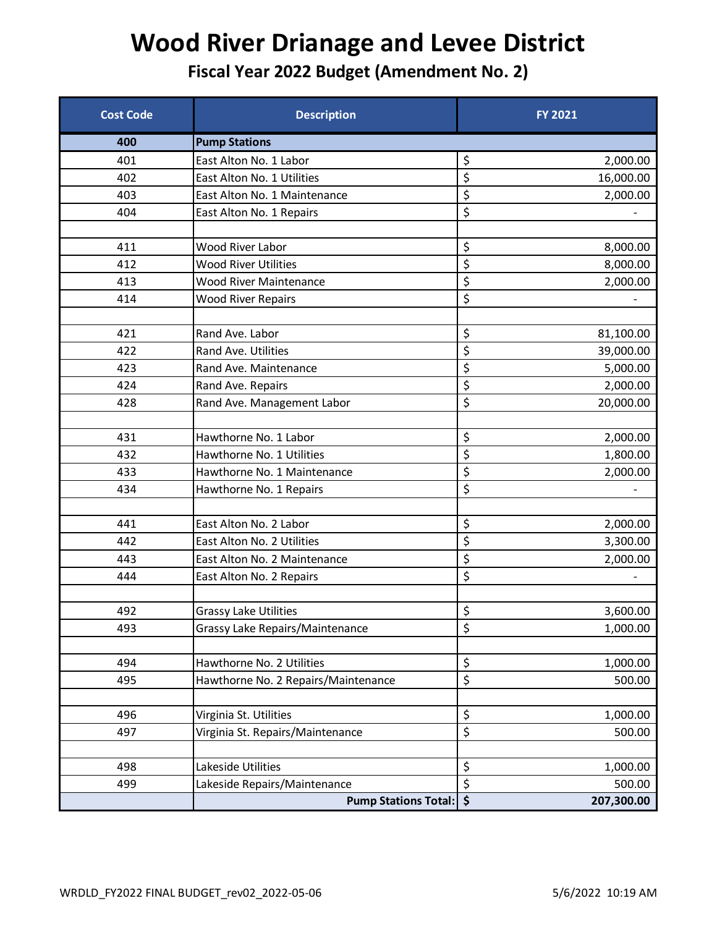| <b>Cost Code</b> | <b>Description</b>                  | <b>FY 2021</b>                            |
|------------------|-------------------------------------|-------------------------------------------|
| 400              | <b>Pump Stations</b>                |                                           |
| 401              | East Alton No. 1 Labor              | \$<br>2,000.00                            |
| 402              | East Alton No. 1 Utilities          | \$<br>16,000.00                           |
| 403              | East Alton No. 1 Maintenance        | \$<br>2,000.00                            |
| 404              | East Alton No. 1 Repairs            | $\overline{\xi}$                          |
|                  |                                     |                                           |
| 411              | <b>Wood River Labor</b>             | \$<br>8,000.00                            |
| 412              | <b>Wood River Utilities</b>         | \$<br>8,000.00                            |
| 413              | <b>Wood River Maintenance</b>       | \$<br>2,000.00                            |
| 414              | <b>Wood River Repairs</b>           | \$                                        |
|                  |                                     |                                           |
| 421              | Rand Ave. Labor                     | \$<br>81,100.00                           |
| 422              | Rand Ave. Utilities                 | \$<br>39,000.00                           |
| 423              | Rand Ave. Maintenance               | \$<br>5,000.00                            |
| 424              | Rand Ave. Repairs                   | \$<br>2,000.00                            |
| 428              | Rand Ave. Management Labor          | \$<br>20,000.00                           |
|                  |                                     |                                           |
| 431              | Hawthorne No. 1 Labor               | \$<br>2,000.00                            |
| 432              | Hawthorne No. 1 Utilities           | \$<br>1,800.00                            |
| 433              | Hawthorne No. 1 Maintenance         | \$<br>2,000.00                            |
| 434              | Hawthorne No. 1 Repairs             | \$                                        |
|                  |                                     |                                           |
| 441              | East Alton No. 2 Labor              | \$<br>2,000.00                            |
| 442              | East Alton No. 2 Utilities          | \$<br>3,300.00                            |
| 443              | East Alton No. 2 Maintenance        | \$<br>2,000.00                            |
| 444              | East Alton No. 2 Repairs            | \$                                        |
|                  |                                     |                                           |
| 492              | <b>Grassy Lake Utilities</b>        | \$<br>3,600.00                            |
| 493              | Grassy Lake Repairs/Maintenance     | \$<br>1,000.00                            |
|                  |                                     |                                           |
| 494              | Hawthorne No. 2 Utilities           | \$<br>1,000.00                            |
| 495              | Hawthorne No. 2 Repairs/Maintenance | \$<br>500.00                              |
|                  |                                     |                                           |
| 496              | Virginia St. Utilities              | \$<br>1,000.00                            |
| 497              | Virginia St. Repairs/Maintenance    | \$<br>500.00                              |
|                  |                                     |                                           |
| 498              | Lakeside Utilities                  | \$<br>1,000.00                            |
| 499              | Lakeside Repairs/Maintenance        | $\overline{\boldsymbol{\zeta}}$<br>500.00 |
|                  | <b>Pump Stations Total:</b>         | \$<br>207,300.00                          |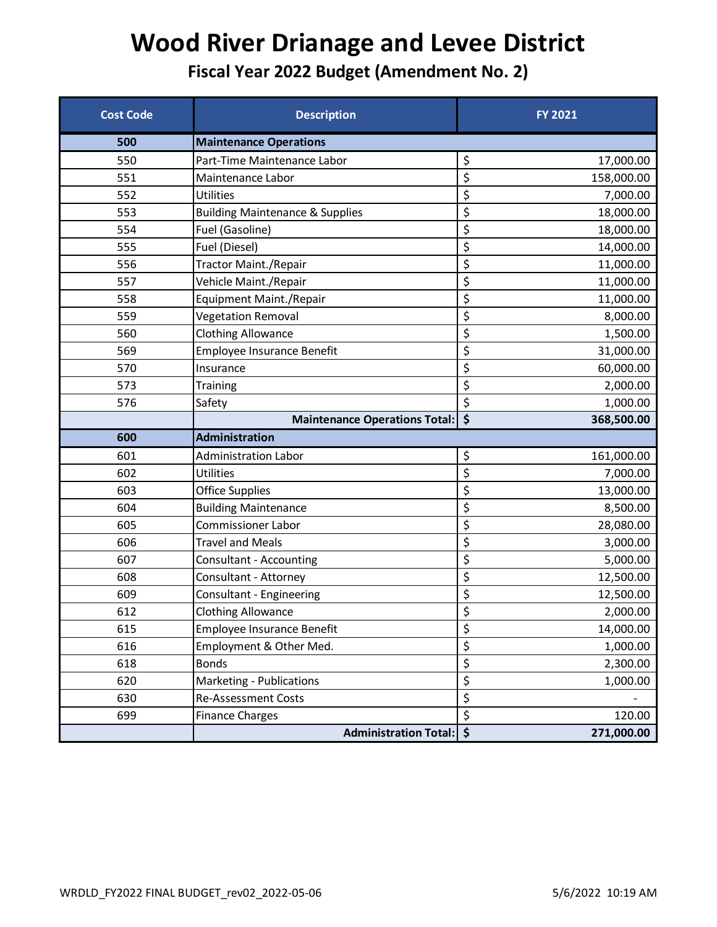| <b>Cost Code</b> | <b>Description</b>                         | <b>FY 2021</b>                              |
|------------------|--------------------------------------------|---------------------------------------------|
| 500              | <b>Maintenance Operations</b>              |                                             |
| 550              | Part-Time Maintenance Labor                | \$<br>17,000.00                             |
| 551              | Maintenance Labor                          | \$<br>158,000.00                            |
| 552              | <b>Utilities</b>                           | \$<br>7,000.00                              |
| 553              | <b>Building Maintenance &amp; Supplies</b> | \$<br>18,000.00                             |
| 554              | Fuel (Gasoline)                            | \$<br>18,000.00                             |
| 555              | Fuel (Diesel)                              | \$<br>14,000.00                             |
| 556              | <b>Tractor Maint./Repair</b>               | \$<br>11,000.00                             |
| 557              | Vehicle Maint./Repair                      | $\boldsymbol{\dot{\varsigma}}$<br>11,000.00 |
| 558              | Equipment Maint./Repair                    | \$<br>11,000.00                             |
| 559              | <b>Vegetation Removal</b>                  | \$<br>8,000.00                              |
| 560              | <b>Clothing Allowance</b>                  | \$<br>1,500.00                              |
| 569              | <b>Employee Insurance Benefit</b>          | \$<br>31,000.00                             |
| 570              | Insurance                                  | \$<br>60,000.00                             |
| 573              | <b>Training</b>                            | \$<br>2,000.00                              |
| 576              | Safety                                     | \$<br>1,000.00                              |
|                  | Maintenance Operations Total:              | \$<br>368,500.00                            |
| 600              | <b>Administration</b>                      |                                             |
| 601              | <b>Administration Labor</b>                | \$<br>161,000.00                            |
| 602              | <b>Utilities</b>                           | \$<br>7,000.00                              |
| 603              | <b>Office Supplies</b>                     | \$<br>13,000.00                             |
| 604              | <b>Building Maintenance</b>                | \$<br>8,500.00                              |
| 605              | <b>Commissioner Labor</b>                  | \$<br>28,080.00                             |
| 606              | <b>Travel and Meals</b>                    | \$<br>3,000.00                              |
| 607              | <b>Consultant - Accounting</b>             | \$<br>5,000.00                              |
| 608              | Consultant - Attorney                      | \$<br>12,500.00                             |
| 609              | Consultant - Engineering                   | \$<br>12,500.00                             |
| 612              | <b>Clothing Allowance</b>                  | \$<br>2,000.00                              |
| 615              | <b>Employee Insurance Benefit</b>          | \$<br>14,000.00                             |
| 616              | Employment & Other Med.                    | \$<br>1,000.00                              |
| 618              | <b>Bonds</b>                               | \$<br>2,300.00                              |
| 620              | Marketing - Publications                   | \$<br>1,000.00                              |
| 630              | Re-Assessment Costs                        | \$                                          |
| 699              | <b>Finance Charges</b>                     | \$<br>120.00                                |
|                  | <b>Administration Total:</b>               | $\dot{\mathsf{S}}$<br>271,000.00            |